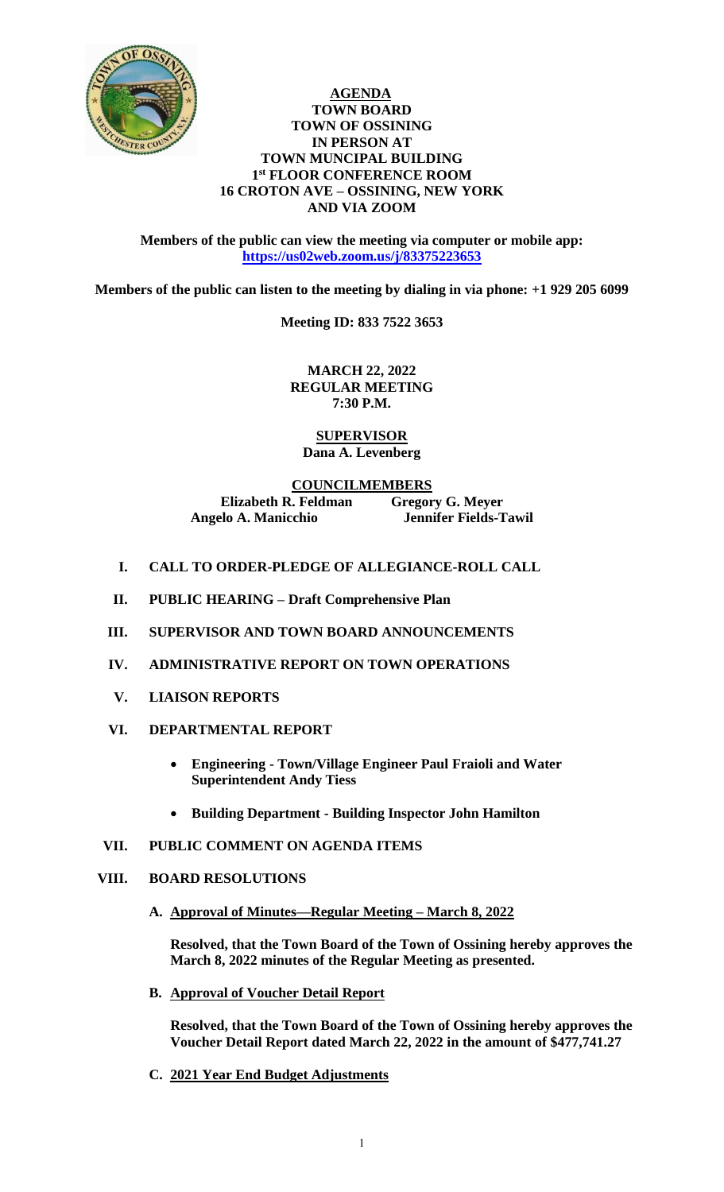

#### **AGENDA TOWN BOARD TOWN OF OSSINING IN PERSON AT TOWN MUNCIPAL BUILDING 1 st FLOOR CONFERENCE ROOM 16 CROTON AVE – OSSINING, NEW YORK AND VIA ZOOM**

**Members of the public can view the meeting via computer or mobile app: <https://us02web.zoom.us/j/83375223653>**

**Members of the public can listen to the meeting by dialing in via phone: +1 929 205 6099** 

**Meeting ID: 833 7522 3653**

**MARCH 22, 2022 REGULAR MEETING 7:30 P.M.**

**SUPERVISOR Dana A. Levenberg**

**COUNCILMEMBERS Elizabeth R. Feldman Gregory G. Meyer Angelo A. Manicchio Jennifer Fields-Tawil**

- **I. CALL TO ORDER-PLEDGE OF ALLEGIANCE-ROLL CALL**
- **II. PUBLIC HEARING – Draft Comprehensive Plan**
- **III. SUPERVISOR AND TOWN BOARD ANNOUNCEMENTS**
- **IV. ADMINISTRATIVE REPORT ON TOWN OPERATIONS**
- **V. LIAISON REPORTS**
- **VI. DEPARTMENTAL REPORT** 
	- **Engineering - Town/Village Engineer Paul Fraioli and Water Superintendent Andy Tiess**
	- **Building Department - Building Inspector John Hamilton**
- **VII. PUBLIC COMMENT ON AGENDA ITEMS**

### **VIII. BOARD RESOLUTIONS**

**A. Approval of Minutes—Regular Meeting – March 8, 2022**

**Resolved, that the Town Board of the Town of Ossining hereby approves the March 8, 2022 minutes of the Regular Meeting as presented.**

**B. Approval of Voucher Detail Report**

**Resolved, that the Town Board of the Town of Ossining hereby approves the Voucher Detail Report dated March 22, 2022 in the amount of \$477,741.27**

**C. 2021 Year End Budget Adjustments**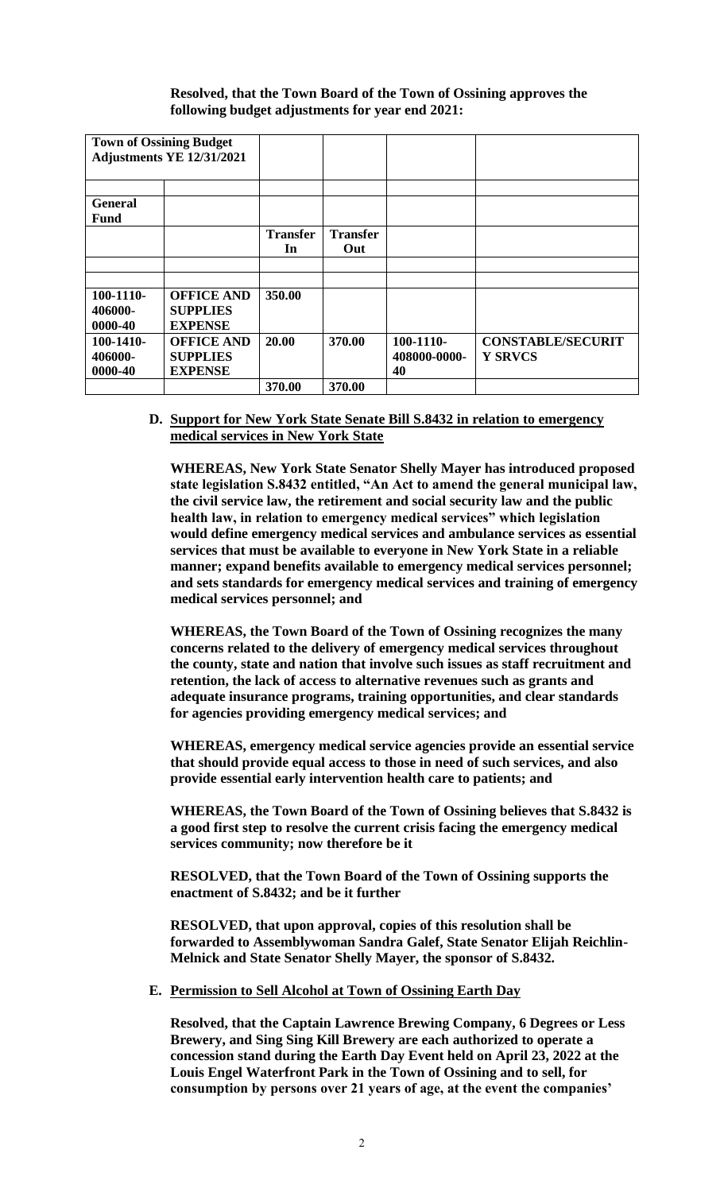**Resolved, that the Town Board of the Town of Ossining approves the following budget adjustments for year end 2021:**

| <b>Town of Ossining Budget</b><br>Adjustments YE 12/31/2021 |                                                        |                       |                        |                                 |                                            |
|-------------------------------------------------------------|--------------------------------------------------------|-----------------------|------------------------|---------------------------------|--------------------------------------------|
| <b>General</b><br><b>Fund</b>                               |                                                        |                       |                        |                                 |                                            |
|                                                             |                                                        | <b>Transfer</b><br>In | <b>Transfer</b><br>Out |                                 |                                            |
|                                                             |                                                        |                       |                        |                                 |                                            |
| $100-1110-$<br>406000-<br>0000-40                           | <b>OFFICE AND</b><br><b>SUPPLIES</b><br><b>EXPENSE</b> | 350.00                |                        |                                 |                                            |
| $100-1410-$<br>406000-<br>0000-40                           | <b>OFFICE AND</b><br><b>SUPPLIES</b><br><b>EXPENSE</b> | 20.00                 | 370.00                 | 100-1110-<br>408000-0000-<br>40 | <b>CONSTABLE/SECURIT</b><br><b>Y SRVCS</b> |
|                                                             |                                                        | 370.00                | 370.00                 |                                 |                                            |

## **D. Support for New York State Senate Bill S.8432 in relation to emergency medical services in New York State**

**WHEREAS, New York State Senator Shelly Mayer has introduced proposed state legislation S.8432 entitled, "An Act to amend the general municipal law, the civil service law, the retirement and social security law and the public health law, in relation to emergency medical services" which legislation would define emergency medical services and ambulance services as essential services that must be available to everyone in New York State in a reliable manner; expand benefits available to emergency medical services personnel; and sets standards for emergency medical services and training of emergency medical services personnel; and**

**WHEREAS, the Town Board of the Town of Ossining recognizes the many concerns related to the delivery of emergency medical services throughout the county, state and nation that involve such issues as staff recruitment and retention, the lack of access to alternative revenues such as grants and adequate insurance programs, training opportunities, and clear standards for agencies providing emergency medical services; and**

**WHEREAS, emergency medical service agencies provide an essential service that should provide equal access to those in need of such services, and also provide essential early intervention health care to patients; and**

**WHEREAS, the Town Board of the Town of Ossining believes that S.8432 is a good first step to resolve the current crisis facing the emergency medical services community; now therefore be it**

**RESOLVED, that the Town Board of the Town of Ossining supports the enactment of S.8432; and be it further**

**RESOLVED, that upon approval, copies of this resolution shall be forwarded to Assemblywoman Sandra Galef, State Senator Elijah Reichlin-Melnick and State Senator Shelly Mayer, the sponsor of S.8432.** 

### **E. Permission to Sell Alcohol at Town of Ossining Earth Day**

**Resolved, that the Captain Lawrence Brewing Company, 6 Degrees or Less Brewery, and Sing Sing Kill Brewery are each authorized to operate a concession stand during the Earth Day Event held on April 23, 2022 at the Louis Engel Waterfront Park in the Town of Ossining and to sell, for consumption by persons over 21 years of age, at the event the companies'**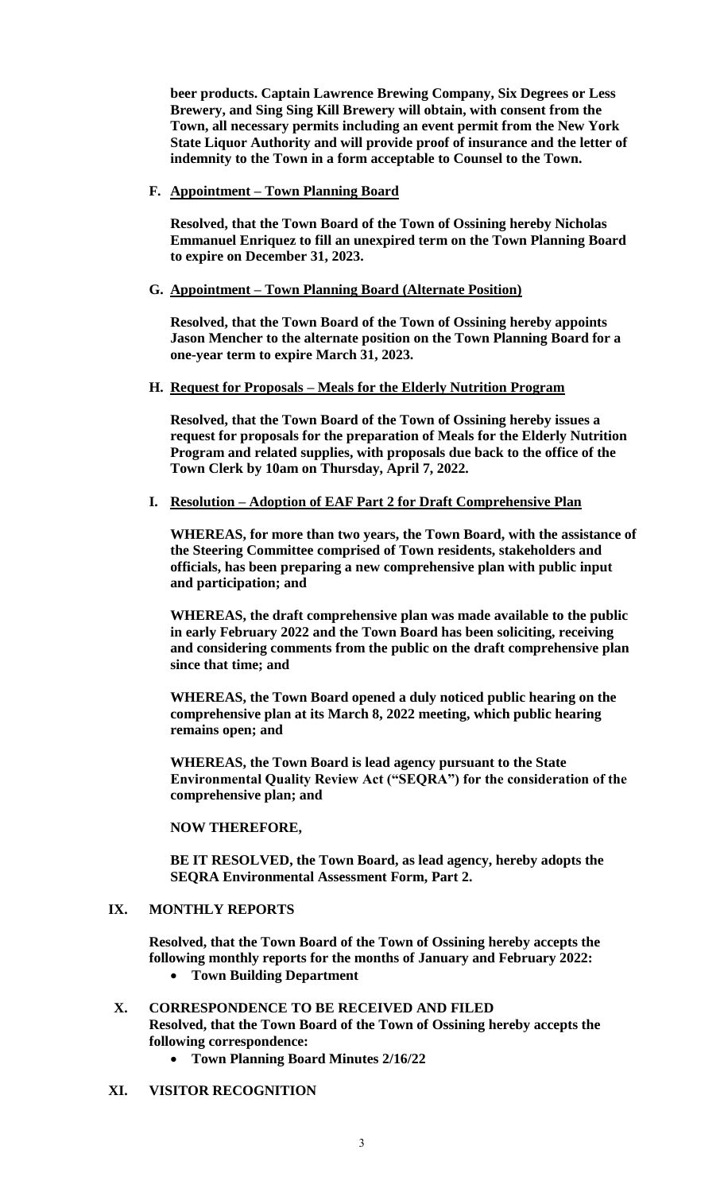**beer products. Captain Lawrence Brewing Company, Six Degrees or Less Brewery, and Sing Sing Kill Brewery will obtain, with consent from the Town, all necessary permits including an event permit from the New York State Liquor Authority and will provide proof of insurance and the letter of indemnity to the Town in a form acceptable to Counsel to the Town.** 

**F. Appointment – Town Planning Board**

**Resolved, that the Town Board of the Town of Ossining hereby Nicholas Emmanuel Enriquez to fill an unexpired term on the Town Planning Board to expire on December 31, 2023.** 

#### **G. Appointment – Town Planning Board (Alternate Position)**

**Resolved, that the Town Board of the Town of Ossining hereby appoints Jason Mencher to the alternate position on the Town Planning Board for a one-year term to expire March 31, 2023.** 

#### **H. Request for Proposals – Meals for the Elderly Nutrition Program**

**Resolved, that the Town Board of the Town of Ossining hereby issues a request for proposals for the preparation of Meals for the Elderly Nutrition Program and related supplies, with proposals due back to the office of the Town Clerk by 10am on Thursday, April 7, 2022.** 

**I. Resolution – Adoption of EAF Part 2 for Draft Comprehensive Plan**

**WHEREAS, for more than two years, the Town Board, with the assistance of the Steering Committee comprised of Town residents, stakeholders and officials, has been preparing a new comprehensive plan with public input and participation; and** 

**WHEREAS, the draft comprehensive plan was made available to the public in early February 2022 and the Town Board has been soliciting, receiving and considering comments from the public on the draft comprehensive plan since that time; and**

**WHEREAS, the Town Board opened a duly noticed public hearing on the comprehensive plan at its March 8, 2022 meeting, which public hearing remains open; and**

**WHEREAS, the Town Board is lead agency pursuant to the State Environmental Quality Review Act ("SEQRA") for the consideration of the comprehensive plan; and**

### **NOW THEREFORE,**

**BE IT RESOLVED, the Town Board, as lead agency, hereby adopts the SEQRA Environmental Assessment Form, Part 2.**

### **IX. MONTHLY REPORTS**

**Resolved, that the Town Board of the Town of Ossining hereby accepts the following monthly reports for the months of January and February 2022:**

**Town Building Department**

# **X. CORRESPONDENCE TO BE RECEIVED AND FILED Resolved, that the Town Board of the Town of Ossining hereby accepts the following correspondence:**

**Town Planning Board Minutes 2/16/22**

### **XI. VISITOR RECOGNITION**